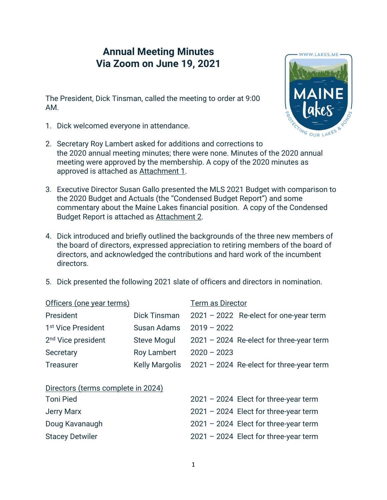## **Annual Meeting Minutes Via Zoom on June 19, 2021**

The President, Dick Tinsman, called the meeting to order at 9:00 AM.

1. Dick welcomed everyone in attendance.



- 2. Secretary Roy Lambert asked for additions and corrections to the 2020 annual meeting minutes; there were none. Minutes of the 2020 annual meeting were approved by the membership. A copy of the 2020 minutes as approved is attached as Attachment 1.
- 3. Executive Director Susan Gallo presented the MLS 2021 Budget with comparison to the 2020 Budget and Actuals (the "Condensed Budget Report") and some commentary about the Maine Lakes financial position. A copy of the Condensed Budget Report is attached as Attachment 2.
- 4. Dick introduced and briefly outlined the backgrounds of the three new members of the board of directors, expressed appreciation to retiring members of the board of directors, and acknowledged the contributions and hard work of the incumbent directors.
- 5. Dick presented the following 2021 slate of officers and directors in nomination.

| <b>Dick Tinsman</b>                |               | 2021 - 2022 Re-elect for one-year term     |
|------------------------------------|---------------|--------------------------------------------|
| Susan Adams                        | $2019 - 2022$ |                                            |
| <b>Steve Mogul</b>                 |               | $2021 - 2024$ Re-elect for three-year term |
| <b>Roy Lambert</b>                 | $2020 - 2023$ |                                            |
| <b>Kelly Margolis</b>              |               | 2021 - 2024 Re-elect for three-year term   |
|                                    |               |                                            |
| Directors (terms complete in 2024) |               |                                            |
|                                    |               | $2021 - 2024$ Elect for three-year term    |
|                                    |               | $2021 - 2024$ Elect for three-year term    |
|                                    |               | $2021 - 2024$ Elect for three-year term    |
|                                    |               | $2021 - 2024$ Elect for three-year term    |
|                                    |               | <b>Term as Director</b>                    |